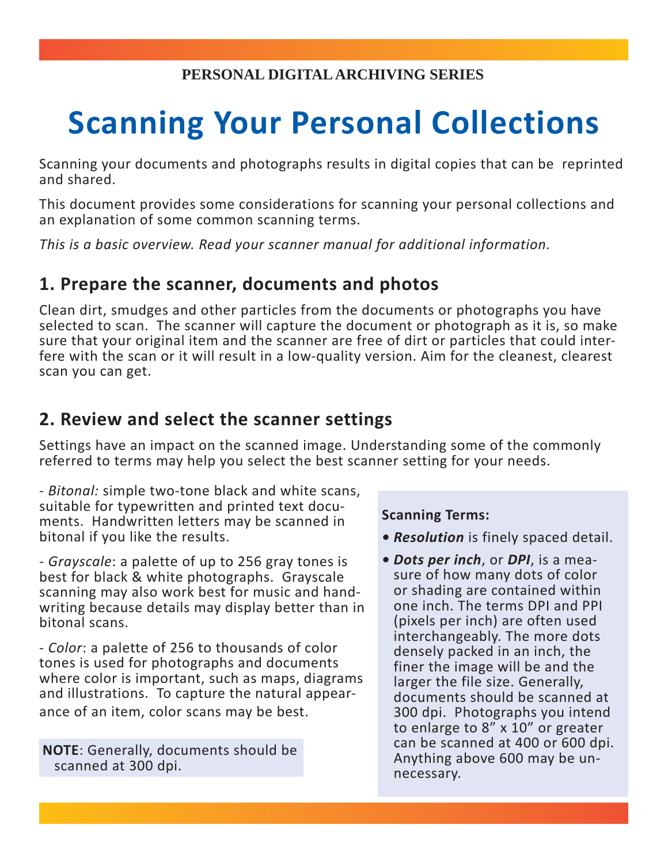# **Scanning Your Personal Collections**

Scanning your documents and photographs results in digital copies that can be reprinted and shared.

This document provides some considerations for scanning your personal collections and an explanation of some common scanning terms.

*This is a basic overview. Read your scanner manual for additional information.*

#### **1. Prepare the scanner, documents and photos**

Clean dirt, smudges and other particles from the documents or photographs you have selected to scan. The scanner will capture the document or photograph as it is, so make sure that your original item and the scanner are free of dirt or particles that could interfere with the scan or it will result in a low-quality version. Aim for the cleanest, clearest scan you can get.

## **2. Review and select the scanner settings**

Settings have an impact on the scanned image. Understanding some of the commonly referred to terms may help you select the best scanner setting for your needs.

- *Bitonal:* simple two-tone black and white scans, suitable for typewritten and printed text documents. Handwritten letters may be scanned in bitonal if you like the results.

- *Grayscale*: a palette of up to 256 gray tones is best for black & white photographs. Grayscale scanning may also work best for music and handwriting because details may display better than in bitonal scans.

- *Color*: a palette of 256 to thousands of color tones is used for photographs and documents where color is important, such as maps, diagrams and illustrations. To capture the natural appearance of an item, color scans may be best.

**NOTE**: Generally, documents should be scanned at 300 dpi.

#### **Scanning Terms:**

- *Resolution* is finely spaced detail.
- *Dots per inch*, or *DPI*, is a measure of how many dots of color or shading are contained within one inch. The terms DPI and PPI (pixels per inch) are often used interchangeably. The more dots densely packed in an inch, the finer the image will be and the larger the file size. Generally, documents should be scanned at 300 dpi. Photographs you intend to enlarge to 8" x 10" or greater can be scanned at 400 or 600 dpi. Anything above 600 may be unnecessary.